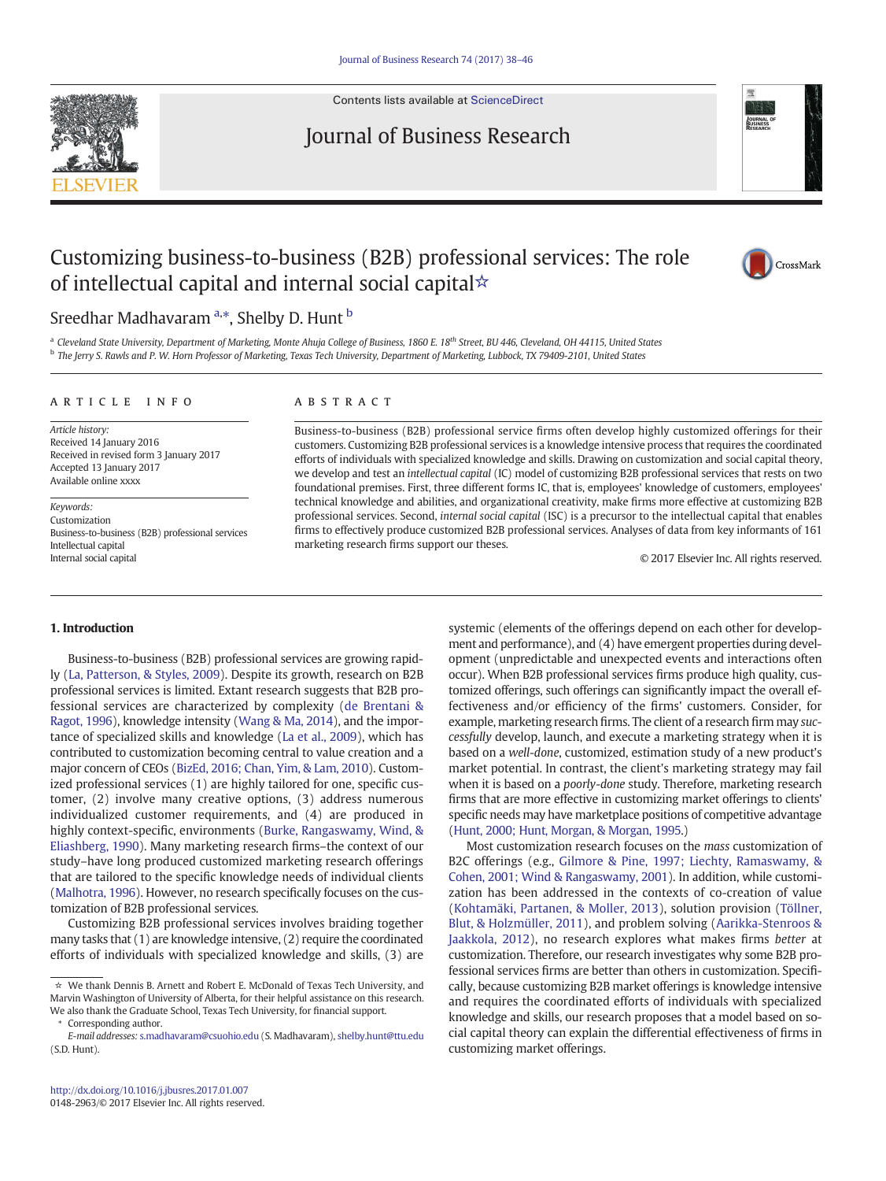

Contents lists available at [ScienceDirect](http://www.sciencedirect.com/science/journal/01482963)

# Journal of Business Research



# Customizing business-to-business (B2B) professional services: The role of intellectual capital and internal social capital☆



# Sreedhar Madhavaram <sup>a,\*</sup>, Shelby D. Hunt <sup>b</sup>

<sup>a</sup> Cleveland State University, Department of Marketing, Monte Ahuja College of Business, 1860 E. 18<sup>th</sup> Street, BU 446, Cleveland, OH 44115, United States <sup>b</sup> The Jerry S. Rawls and P. W. Horn Professor of Marketing, Texas Tech University, Department of Marketing, Lubbock, TX 79409-2101, United States

#### article info abstract

Article history: Received 14 January 2016 Received in revised form 3 January 2017 Accepted 13 January 2017 Available online xxxx

Keywords: Customization Business-to-business (B2B) professional services Intellectual capital Internal social capital

Business-to-business (B2B) professional service firms often develop highly customized offerings for their customers. Customizing B2B professional services is a knowledge intensive process that requires the coordinated efforts of individuals with specialized knowledge and skills. Drawing on customization and social capital theory, we develop and test an intellectual capital (IC) model of customizing B2B professional services that rests on two foundational premises. First, three different forms IC, that is, employees' knowledge of customers, employees' technical knowledge and abilities, and organizational creativity, make firms more effective at customizing B2B professional services. Second, internal social capital (ISC) is a precursor to the intellectual capital that enables firms to effectively produce customized B2B professional services. Analyses of data from key informants of 161 marketing research firms support our theses.

© 2017 Elsevier Inc. All rights reserved.

### 1. Introduction

Business-to-business (B2B) professional services are growing rapidly [\(La, Patterson, & Styles, 2009\)](#page-8-0). Despite its growth, research on B2B professional services is limited. Extant research suggests that B2B professional services are characterized by complexity ([de Brentani &](#page-8-0) [Ragot, 1996](#page-8-0)), knowledge intensity [\(Wang & Ma, 2014\)](#page-8-0), and the importance of specialized skills and knowledge ([La et al., 2009](#page-8-0)), which has contributed to customization becoming central to value creation and a major concern of CEOs ([BizEd, 2016; Chan, Yim, & Lam, 2010\)](#page-8-0). Customized professional services (1) are highly tailored for one, specific customer, (2) involve many creative options, (3) address numerous individualized customer requirements, and (4) are produced in highly context-specific, environments [\(Burke, Rangaswamy, Wind, &](#page-8-0) [Eliashberg, 1990](#page-8-0)). Many marketing research firms–the context of our study–have long produced customized marketing research offerings that are tailored to the specific knowledge needs of individual clients [\(Malhotra, 1996](#page-8-0)). However, no research specifically focuses on the customization of B2B professional services.

Customizing B2B professional services involves braiding together many tasks that (1) are knowledge intensive, (2) require the coordinated efforts of individuals with specialized knowledge and skills, (3) are

Corresponding author.

systemic (elements of the offerings depend on each other for development and performance), and (4) have emergent properties during development (unpredictable and unexpected events and interactions often occur). When B2B professional services firms produce high quality, customized offerings, such offerings can significantly impact the overall effectiveness and/or efficiency of the firms' customers. Consider, for example, marketing research firms. The client of a research firm may successfully develop, launch, and execute a marketing strategy when it is based on a well-done, customized, estimation study of a new product's market potential. In contrast, the client's marketing strategy may fail when it is based on a poorly-done study. Therefore, marketing research firms that are more effective in customizing market offerings to clients' specific needs may have marketplace positions of competitive advantage [\(Hunt, 2000; Hunt, Morgan, & Morgan, 1995.](#page-8-0))

Most customization research focuses on the mass customization of B2C offerings (e.g., [Gilmore & Pine, 1997; Liechty, Ramaswamy, &](#page-8-0) [Cohen, 2001; Wind & Rangaswamy, 2001](#page-8-0)). In addition, while customization has been addressed in the contexts of co-creation of value [\(Kohtamäki, Partanen, & Moller, 2013](#page-8-0)), solution provision ([Töllner,](#page-8-0) [Blut, & Holzmüller, 2011](#page-8-0)), and problem solving ([Aarikka-Stenroos &](#page-7-0) [Jaakkola, 2012](#page-7-0)), no research explores what makes firms better at customization. Therefore, our research investigates why some B2B professional services firms are better than others in customization. Specifically, because customizing B2B market offerings is knowledge intensive and requires the coordinated efforts of individuals with specialized knowledge and skills, our research proposes that a model based on social capital theory can explain the differential effectiveness of firms in customizing market offerings.

<sup>☆</sup> We thank Dennis B. Arnett and Robert E. McDonald of Texas Tech University, and Marvin Washington of University of Alberta, for their helpful assistance on this research. We also thank the Graduate School, Texas Tech University, for financial support.

E-mail addresses: s.madhavaram@csuohio.edu (S. Madhavaram), [shelby.hunt@ttu.edu](mailto:shelby.hunt@ttu.edu) (S.D. Hunt).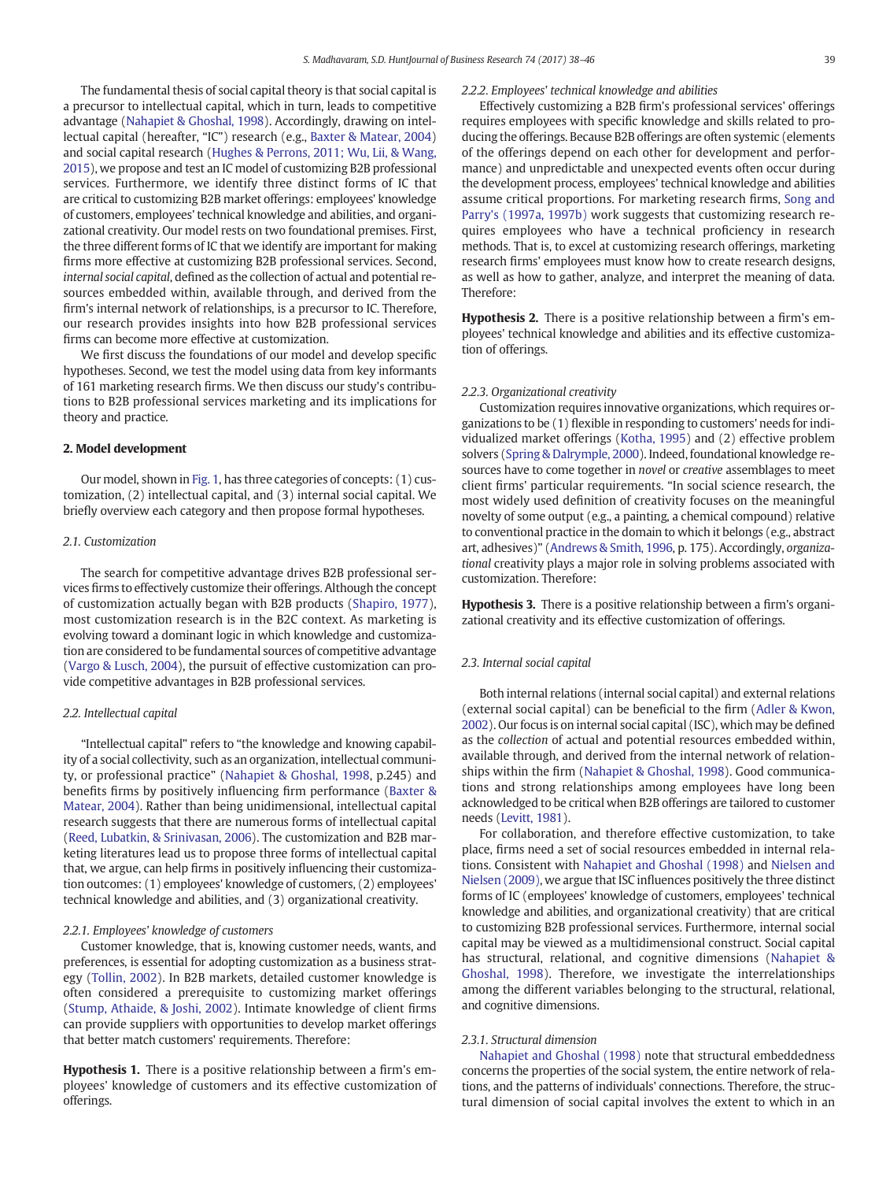<span id="page-1-0"></span>The fundamental thesis of social capital theory is that social capital is a precursor to intellectual capital, which in turn, leads to competitive advantage ([Nahapiet & Ghoshal, 1998\)](#page-8-0). Accordingly, drawing on intellectual capital (hereafter, "IC") research (e.g., [Baxter & Matear, 2004](#page-8-0)) and social capital research [\(Hughes & Perrons, 2011; Wu, Lii, & Wang,](#page-8-0) [2015](#page-8-0)), we propose and test an IC model of customizing B2B professional services. Furthermore, we identify three distinct forms of IC that are critical to customizing B2B market offerings: employees' knowledge of customers, employees' technical knowledge and abilities, and organizational creativity. Our model rests on two foundational premises. First, the three different forms of IC that we identify are important for making firms more effective at customizing B2B professional services. Second, internal social capital, defined as the collection of actual and potential resources embedded within, available through, and derived from the firm's internal network of relationships, is a precursor to IC. Therefore, our research provides insights into how B2B professional services firms can become more effective at customization.

We first discuss the foundations of our model and develop specific hypotheses. Second, we test the model using data from key informants of 161 marketing research firms. We then discuss our study's contributions to B2B professional services marketing and its implications for theory and practice.

#### 2. Model development

Our model, shown in [Fig. 1](#page-3-0), has three categories of concepts: (1) customization, (2) intellectual capital, and (3) internal social capital. We briefly overview each category and then propose formal hypotheses.

#### 2.1. Customization

The search for competitive advantage drives B2B professional services firms to effectively customize their offerings. Although the concept of customization actually began with B2B products [\(Shapiro, 1977](#page-8-0)), most customization research is in the B2C context. As marketing is evolving toward a dominant logic in which knowledge and customization are considered to be fundamental sources of competitive advantage [\(Vargo & Lusch, 2004](#page-8-0)), the pursuit of effective customization can provide competitive advantages in B2B professional services.

#### 2.2. Intellectual capital

"Intellectual capital" refers to "the knowledge and knowing capability of a social collectivity, such as an organization, intellectual community, or professional practice" [\(Nahapiet & Ghoshal, 1998,](#page-8-0) p.245) and benefits firms by positively influencing firm performance ([Baxter &](#page-8-0) [Matear, 2004\)](#page-8-0). Rather than being unidimensional, intellectual capital research suggests that there are numerous forms of intellectual capital [\(Reed, Lubatkin, & Srinivasan, 2006](#page-8-0)). The customization and B2B marketing literatures lead us to propose three forms of intellectual capital that, we argue, can help firms in positively influencing their customization outcomes: (1) employees' knowledge of customers, (2) employees' technical knowledge and abilities, and (3) organizational creativity.

#### 2.2.1. Employees' knowledge of customers

Customer knowledge, that is, knowing customer needs, wants, and preferences, is essential for adopting customization as a business strategy ([Tollin, 2002\)](#page-8-0). In B2B markets, detailed customer knowledge is often considered a prerequisite to customizing market offerings [\(Stump, Athaide, & Joshi, 2002\)](#page-8-0). Intimate knowledge of client firms can provide suppliers with opportunities to develop market offerings that better match customers' requirements. Therefore:

Hypothesis 1. There is a positive relationship between a firm's employees' knowledge of customers and its effective customization of offerings.

## 2.2.2. Employees' technical knowledge and abilities

Effectively customizing a B2B firm's professional services' offerings requires employees with specific knowledge and skills related to producing the offerings. Because B2B offerings are often systemic (elements of the offerings depend on each other for development and performance) and unpredictable and unexpected events often occur during the development process, employees' technical knowledge and abilities assume critical proportions. For marketing research firms, [Song and](#page-8-0) [Parry's \(1997a, 1997b\)](#page-8-0) work suggests that customizing research requires employees who have a technical proficiency in research methods. That is, to excel at customizing research offerings, marketing research firms' employees must know how to create research designs, as well as how to gather, analyze, and interpret the meaning of data. Therefore:

Hypothesis 2. There is a positive relationship between a firm's employees' technical knowledge and abilities and its effective customization of offerings.

#### 2.2.3. Organizational creativity

Customization requires innovative organizations, which requires organizations to be (1) flexible in responding to customers' needs for individualized market offerings [\(Kotha, 1995](#page-8-0)) and (2) effective problem solvers [\(Spring & Dalrymple, 2000\)](#page-8-0). Indeed, foundational knowledge resources have to come together in novel or creative assemblages to meet client firms' particular requirements. "In social science research, the most widely used definition of creativity focuses on the meaningful novelty of some output (e.g., a painting, a chemical compound) relative to conventional practice in the domain to which it belongs (e.g., abstract art, adhesives)" [\(Andrews & Smith, 1996](#page-8-0), p. 175). Accordingly, organizational creativity plays a major role in solving problems associated with customization. Therefore:

Hypothesis 3. There is a positive relationship between a firm's organizational creativity and its effective customization of offerings.

#### 2.3. Internal social capital

Both internal relations (internal social capital) and external relations (external social capital) can be beneficial to the firm ([Adler & Kwon,](#page-7-0) [2002](#page-7-0)). Our focus is on internal social capital (ISC), which may be defined as the collection of actual and potential resources embedded within, available through, and derived from the internal network of relationships within the firm ([Nahapiet & Ghoshal, 1998](#page-8-0)). Good communications and strong relationships among employees have long been acknowledged to be critical when B2B offerings are tailored to customer needs ([Levitt, 1981](#page-8-0)).

For collaboration, and therefore effective customization, to take place, firms need a set of social resources embedded in internal relations. Consistent with [Nahapiet and Ghoshal \(1998\)](#page-8-0) and [Nielsen and](#page-8-0) [Nielsen \(2009\)](#page-8-0), we argue that ISC influences positively the three distinct forms of IC (employees' knowledge of customers, employees' technical knowledge and abilities, and organizational creativity) that are critical to customizing B2B professional services. Furthermore, internal social capital may be viewed as a multidimensional construct. Social capital has structural, relational, and cognitive dimensions [\(Nahapiet &](#page-8-0) [Ghoshal, 1998\)](#page-8-0). Therefore, we investigate the interrelationships among the different variables belonging to the structural, relational, and cognitive dimensions.

#### 2.3.1. Structural dimension

[Nahapiet and Ghoshal \(1998\)](#page-8-0) note that structural embeddedness concerns the properties of the social system, the entire network of relations, and the patterns of individuals' connections. Therefore, the structural dimension of social capital involves the extent to which in an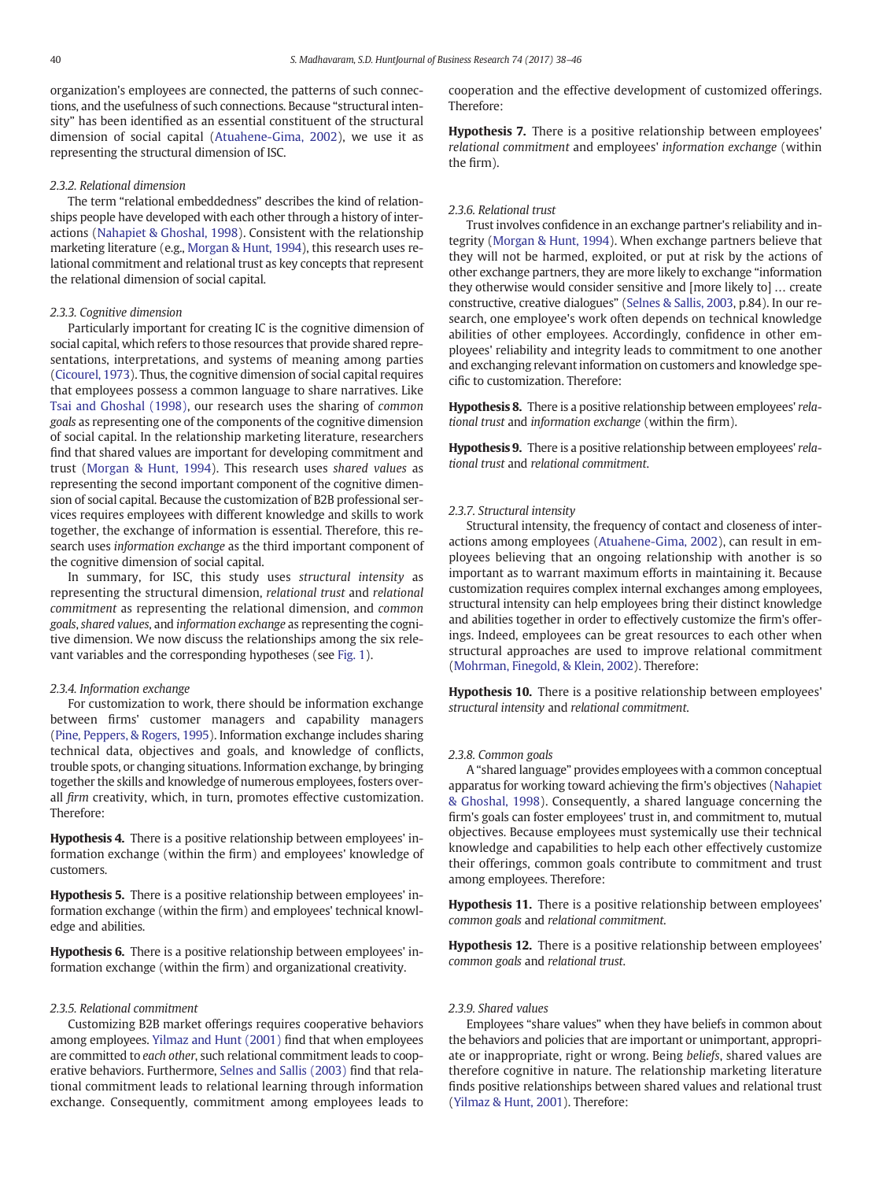#### <span id="page-2-0"></span>2.3.2. Relational dimension

The term "relational embeddedness" describes the kind of relationships people have developed with each other through a history of interactions [\(Nahapiet & Ghoshal, 1998](#page-8-0)). Consistent with the relationship marketing literature (e.g., [Morgan & Hunt, 1994\)](#page-8-0), this research uses relational commitment and relational trust as key concepts that represent the relational dimension of social capital.

#### 2.3.3. Cognitive dimension

Particularly important for creating IC is the cognitive dimension of social capital, which refers to those resources that provide shared representations, interpretations, and systems of meaning among parties [\(Cicourel, 1973](#page-8-0)). Thus, the cognitive dimension of social capital requires that employees possess a common language to share narratives. Like [Tsai and Ghoshal \(1998\)](#page-8-0), our research uses the sharing of common goals as representing one of the components of the cognitive dimension of social capital. In the relationship marketing literature, researchers find that shared values are important for developing commitment and trust [\(Morgan & Hunt, 1994](#page-8-0)). This research uses shared values as representing the second important component of the cognitive dimension of social capital. Because the customization of B2B professional services requires employees with different knowledge and skills to work together, the exchange of information is essential. Therefore, this research uses information exchange as the third important component of the cognitive dimension of social capital.

In summary, for ISC, this study uses structural intensity as representing the structural dimension, relational trust and relational commitment as representing the relational dimension, and common goals, shared values, and information exchange as representing the cognitive dimension. We now discuss the relationships among the six relevant variables and the corresponding hypotheses (see [Fig. 1\)](#page-3-0).

#### 2.3.4. Information exchange

For customization to work, there should be information exchange between firms' customer managers and capability managers [\(Pine, Peppers, & Rogers, 1995\)](#page-8-0). Information exchange includes sharing technical data, objectives and goals, and knowledge of conflicts, trouble spots, or changing situations. Information exchange, by bringing together the skills and knowledge of numerous employees, fosters overall firm creativity, which, in turn, promotes effective customization. Therefore:

Hypothesis 4. There is a positive relationship between employees' information exchange (within the firm) and employees' knowledge of customers.

Hypothesis 5. There is a positive relationship between employees' information exchange (within the firm) and employees' technical knowledge and abilities.

Hypothesis 6. There is a positive relationship between employees' information exchange (within the firm) and organizational creativity.

#### 2.3.5. Relational commitment

Customizing B2B market offerings requires cooperative behaviors among employees. [Yilmaz and Hunt \(2001\)](#page-8-0) find that when employees are committed to each other, such relational commitment leads to cooperative behaviors. Furthermore, [Selnes and Sallis \(2003\)](#page-8-0) find that relational commitment leads to relational learning through information exchange. Consequently, commitment among employees leads to cooperation and the effective development of customized offerings. Therefore:

Hypothesis 7. There is a positive relationship between employees' relational commitment and employees' information exchange (within the firm).

## 2.3.6. Relational trust

Trust involves confidence in an exchange partner's reliability and integrity [\(Morgan & Hunt, 1994\)](#page-8-0). When exchange partners believe that they will not be harmed, exploited, or put at risk by the actions of other exchange partners, they are more likely to exchange "information they otherwise would consider sensitive and [more likely to] … create constructive, creative dialogues" [\(Selnes & Sallis, 2003](#page-8-0), p.84). In our research, one employee's work often depends on technical knowledge abilities of other employees. Accordingly, confidence in other employees' reliability and integrity leads to commitment to one another and exchanging relevant information on customers and knowledge specific to customization. Therefore:

Hypothesis 8. There is a positive relationship between employees' relational trust and information exchange (within the firm).

Hypothesis 9. There is a positive relationship between employees' relational trust and relational commitment.

#### 2.3.7. Structural intensity

Structural intensity, the frequency of contact and closeness of interactions among employees ([Atuahene-Gima, 2002\)](#page-8-0), can result in employees believing that an ongoing relationship with another is so important as to warrant maximum efforts in maintaining it. Because customization requires complex internal exchanges among employees, structural intensity can help employees bring their distinct knowledge and abilities together in order to effectively customize the firm's offerings. Indeed, employees can be great resources to each other when structural approaches are used to improve relational commitment [\(Mohrman, Finegold, & Klein, 2002\)](#page-8-0). Therefore:

Hypothesis 10. There is a positive relationship between employees' structural intensity and relational commitment.

#### 2.3.8. Common goals

A "shared language" provides employees with a common conceptual apparatus for working toward achieving the firm's objectives ([Nahapiet](#page-8-0) [& Ghoshal, 1998](#page-8-0)). Consequently, a shared language concerning the firm's goals can foster employees' trust in, and commitment to, mutual objectives. Because employees must systemically use their technical knowledge and capabilities to help each other effectively customize their offerings, common goals contribute to commitment and trust among employees. Therefore:

Hypothesis 11. There is a positive relationship between employees' common goals and relational commitment.

Hypothesis 12. There is a positive relationship between employees' common goals and relational trust.

#### 2.3.9. Shared values

Employees "share values" when they have beliefs in common about the behaviors and policies that are important or unimportant, appropriate or inappropriate, right or wrong. Being beliefs, shared values are therefore cognitive in nature. The relationship marketing literature finds positive relationships between shared values and relational trust [\(Yilmaz & Hunt, 2001\)](#page-8-0). Therefore: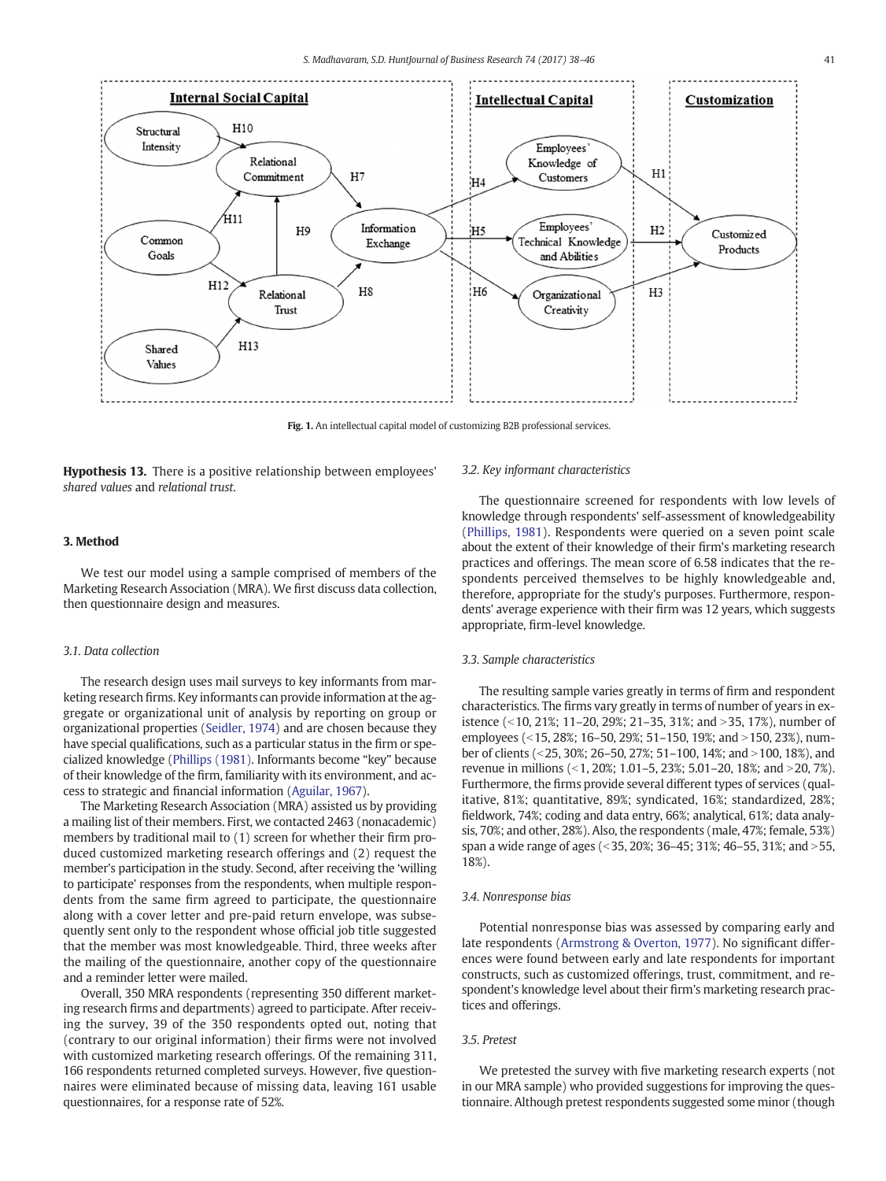<span id="page-3-0"></span>

Fig. 1. An intellectual capital model of customizing B2B professional services.

Hypothesis 13. There is a positive relationship between employees' shared values and relational trust.

#### 3. Method

We test our model using a sample comprised of members of the Marketing Research Association (MRA). We first discuss data collection, then questionnaire design and measures.

#### 3.1. Data collection

The research design uses mail surveys to key informants from marketing research firms. Key informants can provide information at the aggregate or organizational unit of analysis by reporting on group or organizational properties [\(Seidler, 1974\)](#page-8-0) and are chosen because they have special qualifications, such as a particular status in the firm or specialized knowledge [\(Phillips \(1981\)](#page-8-0). Informants become "key" because of their knowledge of the firm, familiarity with its environment, and access to strategic and financial information [\(Aguilar, 1967](#page-8-0)).

The Marketing Research Association (MRA) assisted us by providing a mailing list of their members. First, we contacted 2463 (nonacademic) members by traditional mail to (1) screen for whether their firm produced customized marketing research offerings and (2) request the member's participation in the study. Second, after receiving the 'willing to participate' responses from the respondents, when multiple respondents from the same firm agreed to participate, the questionnaire along with a cover letter and pre-paid return envelope, was subsequently sent only to the respondent whose official job title suggested that the member was most knowledgeable. Third, three weeks after the mailing of the questionnaire, another copy of the questionnaire and a reminder letter were mailed.

Overall, 350 MRA respondents (representing 350 different marketing research firms and departments) agreed to participate. After receiving the survey, 39 of the 350 respondents opted out, noting that (contrary to our original information) their firms were not involved with customized marketing research offerings. Of the remaining 311, 166 respondents returned completed surveys. However, five questionnaires were eliminated because of missing data, leaving 161 usable questionnaires, for a response rate of 52%.

#### 3.2. Key informant characteristics

The questionnaire screened for respondents with low levels of knowledge through respondents' self-assessment of knowledgeability [\(Phillips, 1981\)](#page-8-0). Respondents were queried on a seven point scale about the extent of their knowledge of their firm's marketing research practices and offerings. The mean score of 6.58 indicates that the respondents perceived themselves to be highly knowledgeable and, therefore, appropriate for the study's purposes. Furthermore, respondents' average experience with their firm was 12 years, which suggests appropriate, firm-level knowledge.

#### 3.3. Sample characteristics

The resulting sample varies greatly in terms of firm and respondent characteristics. The firms vary greatly in terms of number of years in existence (<10, 21%; 11–20, 29%; 21–35, 31%; and >35, 17%), number of employees (<15, 28%; 16–50, 29%; 51–150, 19%; and >150, 23%), number of clients (<25, 30%; 26–50, 27%; 51–100, 14%; and >100, 18%), and revenue in millions (<1, 20%; 1.01–5, 23%; 5.01–20, 18%; and >20, 7%). Furthermore, the firms provide several different types of services (qualitative, 81%; quantitative, 89%; syndicated, 16%; standardized, 28%; fieldwork, 74%; coding and data entry, 66%; analytical, 61%; data analysis, 70%; and other, 28%). Also, the respondents (male, 47%; female, 53%) span a wide range of ages (< 35, 20%; 36–45; 31%; 46–55, 31%; and > 55, 18%).

#### 3.4. Nonresponse bias

Potential nonresponse bias was assessed by comparing early and late respondents [\(Armstrong & Overton, 1977](#page-8-0)). No significant differences were found between early and late respondents for important constructs, such as customized offerings, trust, commitment, and respondent's knowledge level about their firm's marketing research practices and offerings.

# 3.5. Pretest

We pretested the survey with five marketing research experts (not in our MRA sample) who provided suggestions for improving the questionnaire. Although pretest respondents suggested some minor (though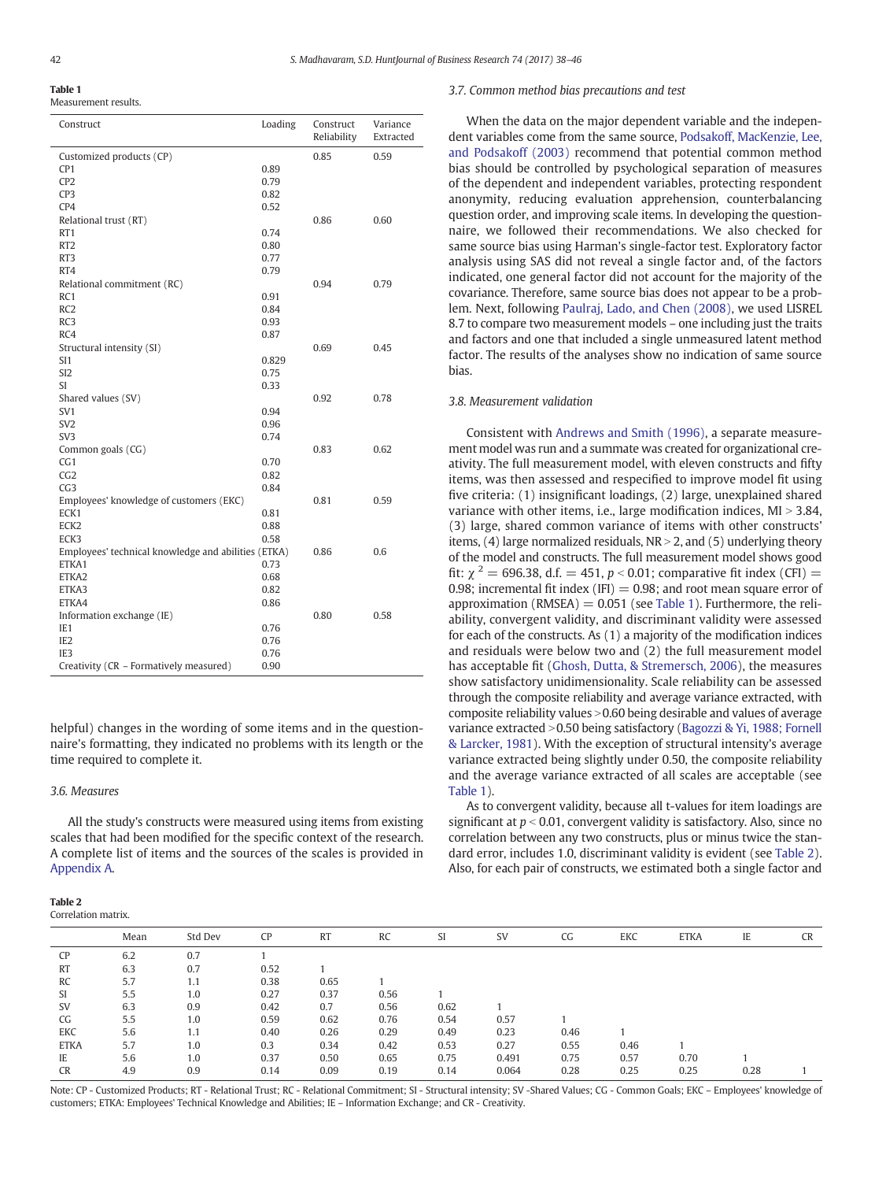Measurement results.

| Construct                                           | Loading | Construct<br>Reliability | Variance<br>Extracted |
|-----------------------------------------------------|---------|--------------------------|-----------------------|
| Customized products (CP)                            |         | 0.85                     | 0.59                  |
| CP <sub>1</sub>                                     | 0.89    |                          |                       |
| CP <sub>2</sub>                                     | 0.79    |                          |                       |
| CP <sub>3</sub>                                     | 0.82    |                          |                       |
| CP4                                                 | 0.52    |                          |                       |
| Relational trust (RT)                               |         | 0.86                     | 0.60                  |
| RT <sub>1</sub>                                     | 0.74    |                          |                       |
| RT <sub>2</sub>                                     | 0.80    |                          |                       |
| RT3                                                 | 0.77    |                          |                       |
| RT4                                                 | 0.79    |                          |                       |
| Relational commitment (RC)                          |         | 0.94                     | 0.79                  |
| RC <sub>1</sub>                                     | 0.91    |                          |                       |
| RC <sub>2</sub>                                     | 0.84    |                          |                       |
| RC <sub>3</sub>                                     | 0.93    |                          |                       |
| RC4                                                 | 0.87    |                          |                       |
| Structural intensity (SI)                           |         | 0.69                     | 0.45                  |
| SI <sub>1</sub>                                     | 0.829   |                          |                       |
| SI <sub>2</sub>                                     | 0.75    |                          |                       |
| <b>SI</b>                                           | 0.33    |                          |                       |
| Shared values (SV)                                  |         | 0.92                     | 0.78                  |
| SV <sub>1</sub>                                     | 0.94    |                          |                       |
| SV <sub>2</sub>                                     | 0.96    |                          |                       |
| SV <sub>3</sub>                                     | 0.74    |                          |                       |
| Common goals (CG)                                   |         | 0.83                     | 0.62                  |
| CG1                                                 | 0.70    |                          |                       |
| CG <sub>2</sub>                                     | 0.82    |                          |                       |
| CG3                                                 | 0.84    |                          |                       |
| Employees' knowledge of customers (EKC)             |         | 0.81                     | 0.59                  |
| ECK1                                                | 0.81    |                          |                       |
| ECK <sub>2</sub>                                    | 0.88    |                          |                       |
| ECK3                                                | 0.58    |                          |                       |
| Employees' technical knowledge and abilities (ETKA) |         | 0.86                     | 0.6                   |
| ETKA1                                               | 0.73    |                          |                       |
| ETKA2                                               | 0.68    |                          |                       |
| ETKA3                                               | 0.82    |                          |                       |
| ETKA4                                               | 0.86    |                          |                       |
| Information exchange (IE)                           |         | 0.80                     | 0.58                  |
| IE1                                                 | 0.76    |                          |                       |
| IE <sub>2</sub>                                     | 0.76    |                          |                       |
| IE <sub>3</sub>                                     | 0.76    |                          |                       |
| Creativity (CR - Formatively measured)              | 0.90    |                          |                       |

helpful) changes in the wording of some items and in the questionnaire's formatting, they indicated no problems with its length or the time required to complete it.

#### 3.6. Measures

All the study's constructs were measured using items from existing scales that had been modified for the specific context of the research. A complete list of items and the sources of the scales is provided in [Appendix A](#page-7-0).

#### Table 2 Correlation matrix.

# 3.7. Common method bias precautions and test

When the data on the major dependent variable and the independent variables come from the same source, [Podsakoff, MacKenzie, Lee,](#page-8-0) [and Podsakoff \(2003\)](#page-8-0) recommend that potential common method bias should be controlled by psychological separation of measures of the dependent and independent variables, protecting respondent anonymity, reducing evaluation apprehension, counterbalancing question order, and improving scale items. In developing the questionnaire, we followed their recommendations. We also checked for same source bias using Harman's single-factor test. Exploratory factor analysis using SAS did not reveal a single factor and, of the factors indicated, one general factor did not account for the majority of the covariance. Therefore, same source bias does not appear to be a problem. Next, following [Paulraj, Lado, and Chen \(2008\),](#page-8-0) we used LISREL 8.7 to compare two measurement models – one including just the traits and factors and one that included a single unmeasured latent method factor. The results of the analyses show no indication of same source bias.

### 3.8. Measurement validation

Consistent with [Andrews and Smith \(1996\)](#page-8-0), a separate measurement model was run and a summate was created for organizational creativity. The full measurement model, with eleven constructs and fifty items, was then assessed and respecified to improve model fit using five criteria: (1) insignificant loadings, (2) large, unexplained shared variance with other items, i.e., large modification indices,  $MI > 3.84$ , (3) large, shared common variance of items with other constructs' items, (4) large normalized residuals,  $NR > 2$ , and (5) underlying theory of the model and constructs. The full measurement model shows good fit:  $\chi^2 = 696.38$ , d.f. = 451, p < 0.01; comparative fit index (CFI) = 0.98; incremental fit index (IFI)  $= 0.98$ ; and root mean square error of approximation (RMSEA) =  $0.051$  (see Table 1). Furthermore, the reliability, convergent validity, and discriminant validity were assessed for each of the constructs. As (1) a majority of the modification indices and residuals were below two and (2) the full measurement model has acceptable fit ([Ghosh, Dutta, & Stremersch, 2006\)](#page-8-0), the measures show satisfactory unidimensionality. Scale reliability can be assessed through the composite reliability and average variance extracted, with composite reliability values  $>0.60$  being desirable and values of average variance extracted  $>0.50$  being satisfactory ([Bagozzi & Yi, 1988; Fornell](#page-8-0) [& Larcker, 1981](#page-8-0)). With the exception of structural intensity's average variance extracted being slightly under 0.50, the composite reliability and the average variance extracted of all scales are acceptable (see Table 1).

As to convergent validity, because all t-values for item loadings are significant at  $p < 0.01$ , convergent validity is satisfactory. Also, since no correlation between any two constructs, plus or minus twice the standard error, includes 1.0, discriminant validity is evident (see Table 2). Also, for each pair of constructs, we estimated both a single factor and

|               | Mean | Std Dev | <b>CP</b> | <b>RT</b> | RC   | SI   | <b>SV</b> | CG   | EKC  | <b>ETKA</b> | IE   | <b>CR</b> |
|---------------|------|---------|-----------|-----------|------|------|-----------|------|------|-------------|------|-----------|
| CP            | 6.2  | 0.7     |           |           |      |      |           |      |      |             |      |           |
| <b>RT</b>     | 6.3  | 0.7     | 0.52      |           |      |      |           |      |      |             |      |           |
| <b>RC</b>     | 5.7  | 1.1     | 0.38      | 0.65      |      |      |           |      |      |             |      |           |
| <sup>SI</sup> | 5.5  | 1.0     | 0.27      | 0.37      | 0.56 |      |           |      |      |             |      |           |
| <b>SV</b>     | 6.3  | 0.9     | 0.42      | 0.7       | 0.56 | 0.62 |           |      |      |             |      |           |
| CG            | 5.5  | 1.0     | 0.59      | 0.62      | 0.76 | 0.54 | 0.57      |      |      |             |      |           |
| EKC           | 5.6  | 1.1     | 0.40      | 0.26      | 0.29 | 0.49 | 0.23      | 0.46 |      |             |      |           |
| <b>ETKA</b>   | 5.7  | 1.0     | 0.3       | 0.34      | 0.42 | 0.53 | 0.27      | 0.55 | 0.46 |             |      |           |
| IE            | 5.6  | 1.0     | 0.37      | 0.50      | 0.65 | 0.75 | 0.491     | 0.75 | 0.57 | 0.70        |      |           |
| <b>CR</b>     | 4.9  | 0.9     | 0.14      | 0.09      | 0.19 | 0.14 | 0.064     | 0.28 | 0.25 | 0.25        | 0.28 |           |

Note: CP - Customized Products; RT - Relational Trust; RC - Relational Commitment; SI - Structural intensity; SV -Shared Values; CG - Common Goals; EKC – Employees' knowledge of customers; ETKA: Employees' Technical Knowledge and Abilities; IE – Information Exchange; and CR - Creativity.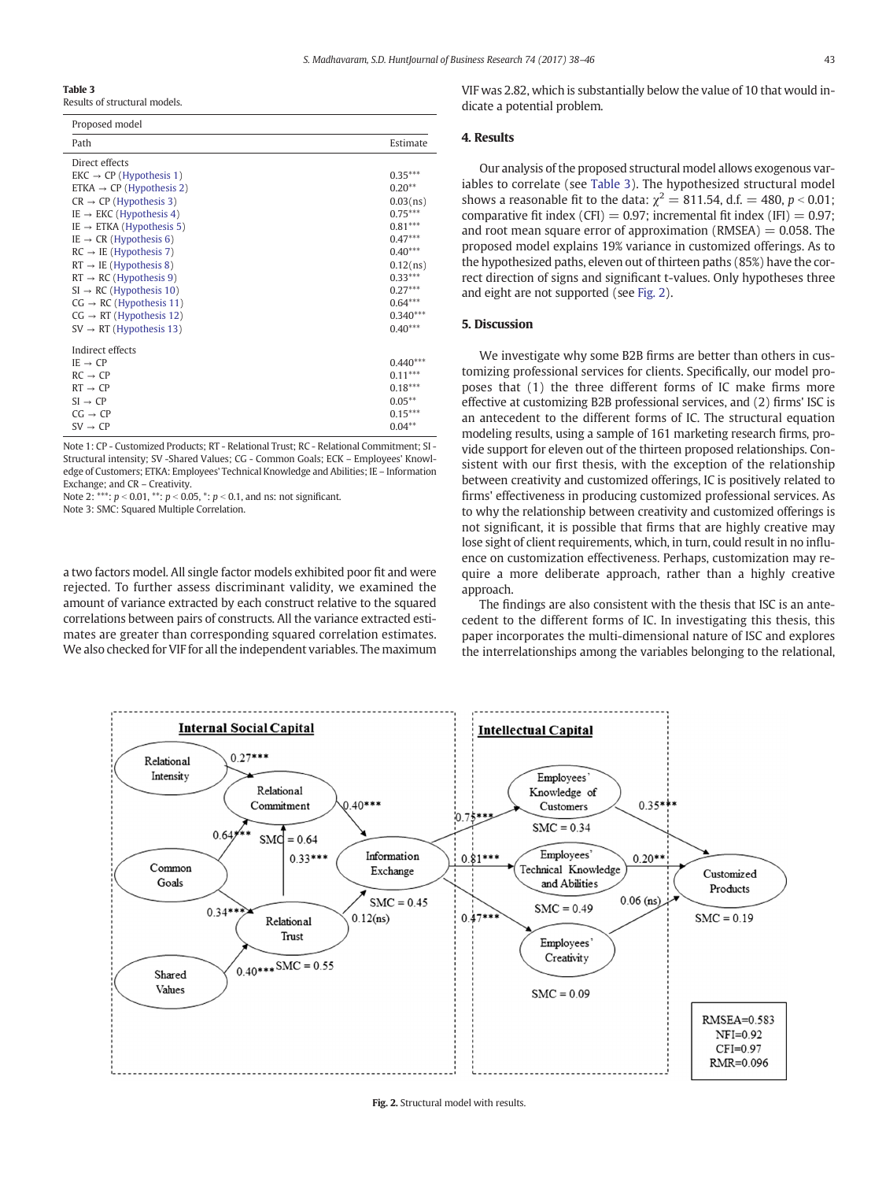Table 3

Results of structural models.

| Proposed model                       |             |
|--------------------------------------|-------------|
| Path                                 | Estimate    |
| Direct effects                       |             |
| $EKC \rightarrow CP$ (Hypothesis 1)  | $0.35***$   |
| ETKA $\rightarrow$ CP (Hypothesis 2) | $0.20**$    |
| $CR \rightarrow CP$ (Hypothesis 3)   | 0.03(ns)    |
| IE $\rightarrow$ EKC (Hypothesis 4)  | $0.75***$   |
| IE $\rightarrow$ ETKA (Hypothesis 5) | $0.81***$   |
| IE $\rightarrow$ CR (Hypothesis 6)   | $0.47***$   |
| $RC \rightarrow IE$ (Hypothesis 7)   | $0.40***$   |
| $RT \rightarrow IE$ (Hypothesis 8)   | $0.12$ (ns) |
| $RT \rightarrow RC$ (Hypothesis 9)   | $0.33***$   |
| $SI \rightarrow RC$ (Hypothesis 10)  | $0.27***$   |
| $CG \rightarrow RC$ (Hypothesis 11)  | $0.64***$   |
| $CG \rightarrow RT$ (Hypothesis 12)  | $0.340***$  |
| $SV \rightarrow RT$ (Hypothesis 13)  | $0.40***$   |
| Indirect effects                     |             |
| IE $\rightarrow$ CP                  | $0.440***$  |
| $RC \rightarrow CP$                  | $0.11***$   |
| $RT \rightarrow CP$                  | $0.18***$   |
| $SI \rightarrow CP$                  | $0.05***$   |
| $CG \rightarrow CP$                  | $0.15***$   |
| $SV \rightarrow CP$                  | $0.04**$    |
|                                      |             |

Note 1: CP - Customized Products; RT - Relational Trust; RC - Relational Commitment; SI - Structural intensity; SV -Shared Values; CG - Common Goals; ECK – Employees' Knowledge of Customers; ETKA: Employees' Technical Knowledge and Abilities; IE – Information Exchange; and CR – Creativity.

Note 2: \*\*\*:  $p < 0.01$ , \*\*:  $p < 0.05$ , \*:  $p < 0.1$ , and ns: not significant.

Note 3: SMC: Squared Multiple Correlation.

a two factors model. All single factor models exhibited poor fit and were rejected. To further assess discriminant validity, we examined the amount of variance extracted by each construct relative to the squared correlations between pairs of constructs. All the variance extracted estimates are greater than corresponding squared correlation estimates. We also checked for VIF for all the independent variables. The maximum

## VIF was 2.82, which is substantially below the value of 10 that would indicate a potential problem.

#### 4. Results

Our analysis of the proposed structural model allows exogenous variables to correlate (see Table 3). The hypothesized structural model shows a reasonable fit to the data:  $\chi^2 = 811.54$ , d.f. = 480, p < 0.01; comparative fit index (CFI) =  $0.97$ ; incremental fit index (IFI) =  $0.97$ ; and root mean square error of approximation ( $RMSEA$ ) = 0.058. The proposed model explains 19% variance in customized offerings. As to the hypothesized paths, eleven out of thirteen paths (85%) have the correct direction of signs and significant t-values. Only hypotheses three and eight are not supported (see Fig. 2).

# 5. Discussion

We investigate why some B2B firms are better than others in customizing professional services for clients. Specifically, our model proposes that (1) the three different forms of IC make firms more effective at customizing B2B professional services, and (2) firms' ISC is an antecedent to the different forms of IC. The structural equation modeling results, using a sample of 161 marketing research firms, provide support for eleven out of the thirteen proposed relationships. Consistent with our first thesis, with the exception of the relationship between creativity and customized offerings, IC is positively related to firms' effectiveness in producing customized professional services. As to why the relationship between creativity and customized offerings is not significant, it is possible that firms that are highly creative may lose sight of client requirements, which, in turn, could result in no influence on customization effectiveness. Perhaps, customization may require a more deliberate approach, rather than a highly creative approach.

The findings are also consistent with the thesis that ISC is an antecedent to the different forms of IC. In investigating this thesis, this paper incorporates the multi-dimensional nature of ISC and explores the interrelationships among the variables belonging to the relational,



Fig. 2. Structural model with results.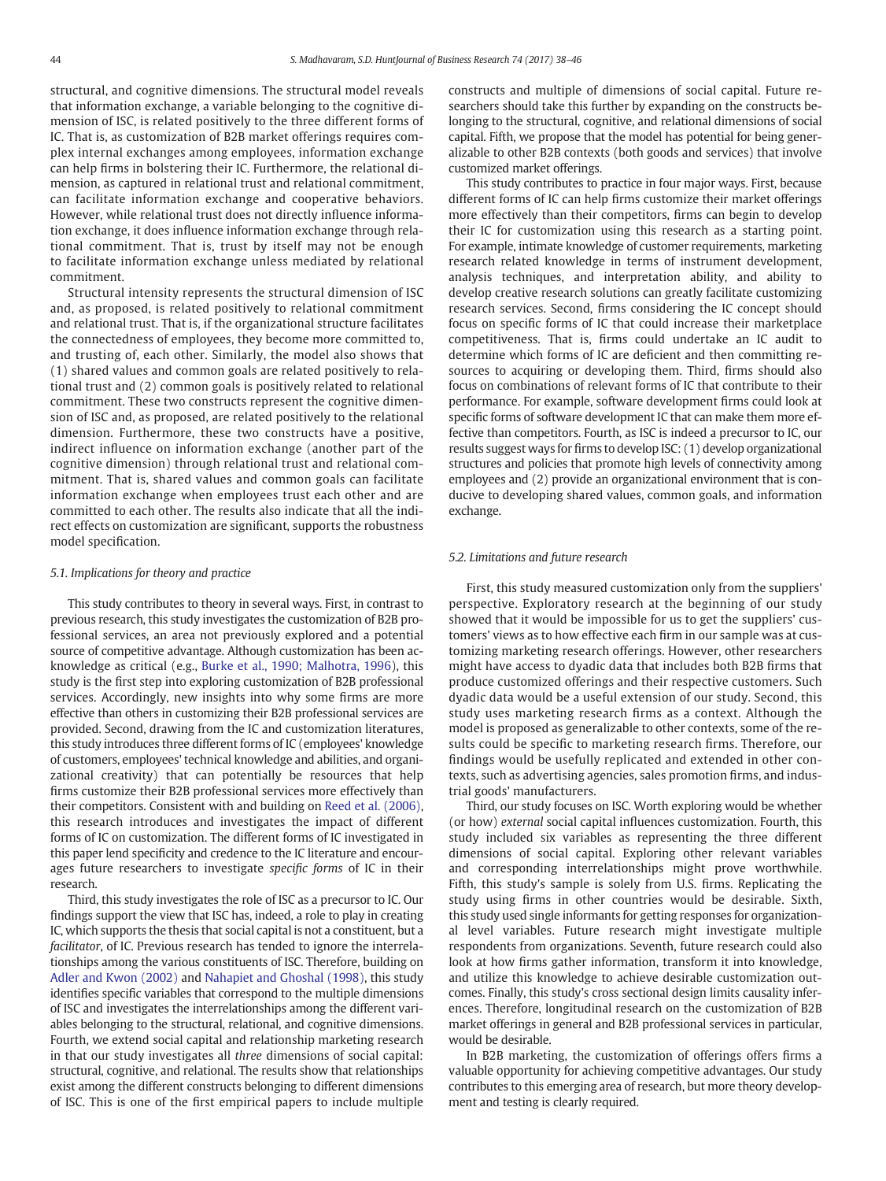structural, and cognitive dimensions. The structural model reveals that information exchange, a variable belonging to the cognitive dimension of ISC, is related positively to the three different forms of IC. That is, as customization of B2B market offerings requires complex internal exchanges among employees, information exchange can help firms in bolstering their IC. Furthermore, the relational dimension, as captured in relational trust and relational commitment, can facilitate information exchange and cooperative behaviors. However, while relational trust does not directly influence information exchange, it does influence information exchange through relational commitment. That is, trust by itself may not be enough to facilitate information exchange unless mediated by relational commitment.

Structural intensity represents the structural dimension of ISC and, as proposed, is related positively to relational commitment and relational trust. That is, if the organizational structure facilitates the connectedness of employees, they become more committed to, and trusting of, each other. Similarly, the model also shows that (1) shared values and common goals are related positively to relational trust and (2) common goals is positively related to relational commitment. These two constructs represent the cognitive dimension of ISC and, as proposed, are related positively to the relational dimension. Furthermore, these two constructs have a positive, indirect influence on information exchange (another part of the cognitive dimension) through relational trust and relational commitment. That is, shared values and common goals can facilitate information exchange when employees trust each other and are committed to each other. The results also indicate that all the indirect effects on customization are significant, supports the robustness model specification.

#### 5.1. Implications for theory and practice

This study contributes to theory in several ways. First, in contrast to previous research, this study investigates the customization of B2B professional services, an area not previously explored and a potential source of competitive advantage. Although customization has been acknowledge as critical (e.g., [Burke et al., 1990; Malhotra, 1996](#page-8-0)), this study is the first step into exploring customization of B2B professional services. Accordingly, new insights into why some firms are more effective than others in customizing their B2B professional services are provided. Second, drawing from the IC and customization literatures, this study introduces three different forms of IC (employees' knowledge of customers, employees' technical knowledge and abilities, and organizational creativity) that can potentially be resources that help firms customize their B2B professional services more effectively than their competitors. Consistent with and building on [Reed et al. \(2006\),](#page-8-0) this research introduces and investigates the impact of different forms of IC on customization. The different forms of IC investigated in this paper lend specificity and credence to the IC literature and encourages future researchers to investigate specific forms of IC in their research.

Third, this study investigates the role of ISC as a precursor to IC. Our findings support the view that ISC has, indeed, a role to play in creating IC, which supports the thesis that social capital is not a constituent, but a facilitator, of IC. Previous research has tended to ignore the interrelationships among the various constituents of ISC. Therefore, building on [Adler and Kwon \(2002\)](#page-7-0) and [Nahapiet and Ghoshal \(1998\)](#page-8-0), this study identifies specific variables that correspond to the multiple dimensions of ISC and investigates the interrelationships among the different variables belonging to the structural, relational, and cognitive dimensions. Fourth, we extend social capital and relationship marketing research in that our study investigates all three dimensions of social capital: structural, cognitive, and relational. The results show that relationships exist among the different constructs belonging to different dimensions of ISC. This is one of the first empirical papers to include multiple

constructs and multiple of dimensions of social capital. Future researchers should take this further by expanding on the constructs belonging to the structural, cognitive, and relational dimensions of social capital. Fifth, we propose that the model has potential for being generalizable to other B2B contexts (both goods and services) that involve customized market offerings.

This study contributes to practice in four major ways. First, because different forms of IC can help firms customize their market offerings more effectively than their competitors, firms can begin to develop their IC for customization using this research as a starting point. For example, intimate knowledge of customer requirements, marketing research related knowledge in terms of instrument development, analysis techniques, and interpretation ability, and ability to develop creative research solutions can greatly facilitate customizing research services. Second, firms considering the IC concept should focus on specific forms of IC that could increase their marketplace competitiveness. That is, firms could undertake an IC audit to determine which forms of IC are deficient and then committing resources to acquiring or developing them. Third, firms should also focus on combinations of relevant forms of IC that contribute to their performance. For example, software development firms could look at specific forms of software development IC that can make them more effective than competitors. Fourth, as ISC is indeed a precursor to IC, our results suggest ways for firms to develop ISC: (1) develop organizational structures and policies that promote high levels of connectivity among employees and (2) provide an organizational environment that is conducive to developing shared values, common goals, and information exchange.

#### 5.2. Limitations and future research

First, this study measured customization only from the suppliers' perspective. Exploratory research at the beginning of our study showed that it would be impossible for us to get the suppliers' customers' views as to how effective each firm in our sample was at customizing marketing research offerings. However, other researchers might have access to dyadic data that includes both B2B firms that produce customized offerings and their respective customers. Such dyadic data would be a useful extension of our study. Second, this study uses marketing research firms as a context. Although the model is proposed as generalizable to other contexts, some of the results could be specific to marketing research firms. Therefore, our findings would be usefully replicated and extended in other contexts, such as advertising agencies, sales promotion firms, and industrial goods' manufacturers.

Third, our study focuses on ISC. Worth exploring would be whether (or how) external social capital influences customization. Fourth, this study included six variables as representing the three different dimensions of social capital. Exploring other relevant variables and corresponding interrelationships might prove worthwhile. Fifth, this study's sample is solely from U.S. firms. Replicating the study using firms in other countries would be desirable. Sixth, this study used single informants for getting responses for organizational level variables. Future research might investigate multiple respondents from organizations. Seventh, future research could also look at how firms gather information, transform it into knowledge, and utilize this knowledge to achieve desirable customization outcomes. Finally, this study's cross sectional design limits causality inferences. Therefore, longitudinal research on the customization of B2B market offerings in general and B2B professional services in particular, would be desirable.

In B2B marketing, the customization of offerings offers firms a valuable opportunity for achieving competitive advantages. Our study contributes to this emerging area of research, but more theory development and testing is clearly required.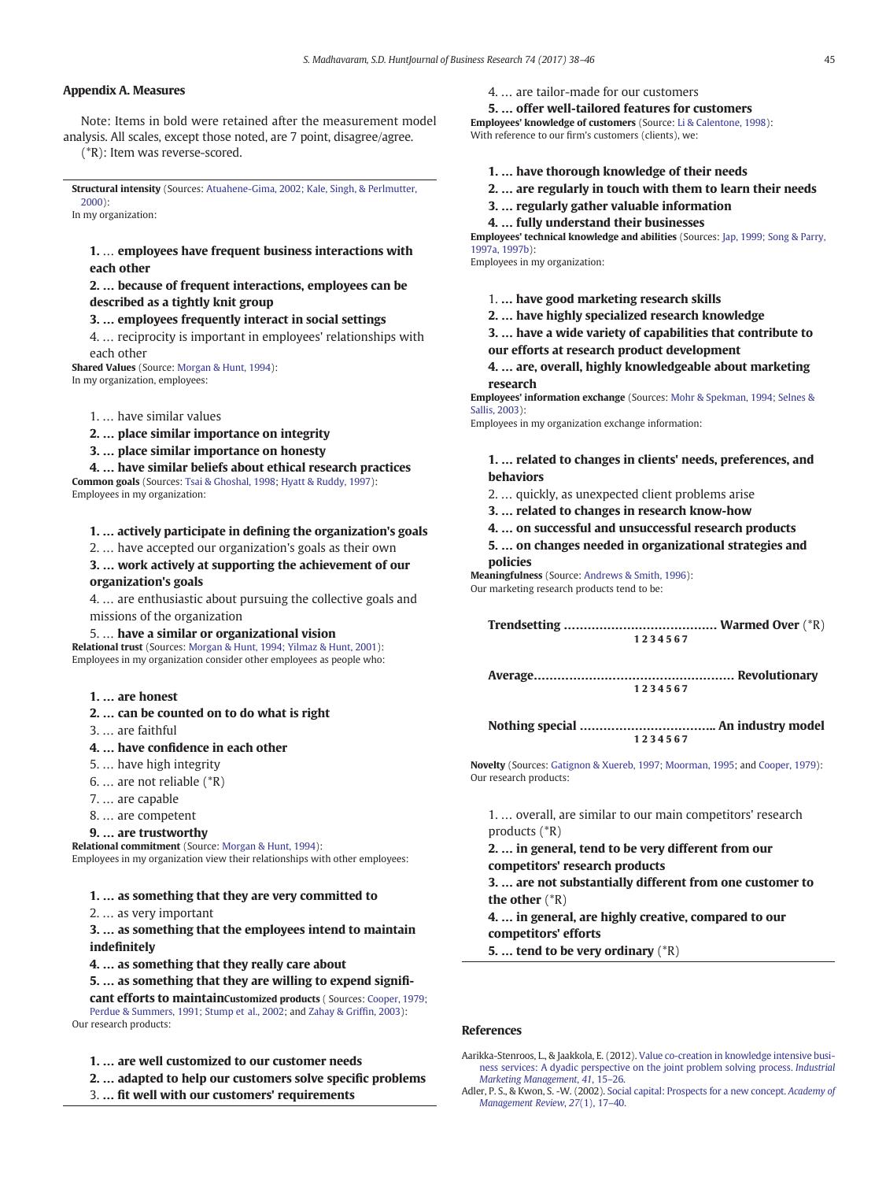# <span id="page-7-0"></span>Appendix A. Measures

Note: Items in bold were retained after the measurement model analysis. All scales, except those noted, are 7 point, disagree/agree.

(\*R): Item was reverse-scored.

Structural intensity (Sources: [Atuahene-Gima, 2002; Kale, Singh, & Perlmutter,](#page-8-0) [2000](#page-8-0)):

In my organization:

# 1. … employees have frequent business interactions with each other

# 2. … because of frequent interactions, employees can be described as a tightly knit group

#### 3. … employees frequently interact in social settings

4. … reciprocity is important in employees' relationships with each other

Shared Values (Source: [Morgan & Hunt, 1994](#page-8-0)): In my organization, employees:

- 1. … have similar values
- 2. … place similar importance on integrity
- 3. … place similar importance on honesty

4. … have similar beliefs about ethical research practices Common goals (Sources: [Tsai & Ghoshal, 1998](#page-8-0); [Hyatt & Ruddy, 1997](#page-8-0)): Employees in my organization:

#### 1. … actively participate in defining the organization's goals

2. … have accepted our organization's goals as their own

3. … work actively at supporting the achievement of our organization's goals

4. … are enthusiastic about pursuing the collective goals and missions of the organization

#### 5. … have a similar or organizational vision

Relational trust (Sources: [Morgan & Hunt, 1994; Yilmaz & Hunt, 2001\)](#page-8-0): Employees in my organization consider other employees as people who:

#### 1. … are honest

- 2. … can be counted on to do what is right
- 3. … are faithful
- 4. … have confidence in each other
- 5. … have high integrity
- 6. … are not reliable (\*R)
- 7. … are capable
- 8. … are competent

#### 9. … are trustworthy

Relational commitment (Source: [Morgan & Hunt, 1994](#page-8-0)): Employees in my organization view their relationships with other employees:

1. … as something that they are very committed to

2. … as very important

3. … as something that the employees intend to maintain indefinitely

- 4. … as something that they really care about
- 5. … as something that they are willing to expend signifi-

cant efforts to maintainCustomized products ( Sources: [Cooper, 1979;](#page-8-0) [Perdue & Summers, 1991; Stump et al., 2002](#page-8-0); and [Zahay & Grif](#page-8-0)fin, 2003): Our research products:

1. … are well customized to our customer needs

2. … adapted to help our customers solve specific problems

3. … fit well with our customers' requirements

4. … are tailor-made for our customers

5. … offer well-tailored features for customers

Employees' knowledge of customers (Source: [Li & Calentone, 1998](#page-8-0)): With reference to our firm's customers (clients), we:

- 1. … have thorough knowledge of their needs
- 2. … are regularly in touch with them to learn their needs
- 3. … regularly gather valuable information
- 4. … fully understand their businesses

Employees' technical knowledge and abilities (Sources: [Jap, 1999; Song & Parry,](#page-8-0) [1997a, 1997b\)](#page-8-0):

Employees in my organization:

1. … have good marketing research skills

- 2. … have highly specialized research knowledge
- 3. … have a wide variety of capabilities that contribute to our efforts at research product development

4. … are, overall, highly knowledgeable about marketing research

Employees' information exchange (Sources: [Mohr & Spekman, 1994; Selnes &](#page-8-0) [Sallis, 2003](#page-8-0)):

Employees in my organization exchange information:

# 1. … related to changes in clients' needs, preferences, and behaviors

- 2. … quickly, as unexpected client problems arise
- 3. … related to changes in research know-how
- 4. … on successful and unsuccessful research products
- 5. … on changes needed in organizational strategies and policies

Meaningfulness (Source: [Andrews & Smith, 1996](#page-8-0)): Our marketing research products tend to be:

| 1234567 |  |
|---------|--|
|         |  |

Average…………………………………………… Revolutionary 1234567

#### Nothing special …………………………….. An industry model 1234567

Novelty (Sources: [Gatignon & Xuereb, 1997; Moorman, 1995;](#page-8-0) and [Cooper, 1979\)](#page-8-0): Our research products:

1. … overall, are similar to our main competitors' research products (\*R)

2. … in general, tend to be very different from our competitors' research products

3. … are not substantially different from one customer to the other  $(*R)$ 

4. … in general, are highly creative, compared to our competitors' efforts

5. ... tend to be very ordinary  $(^{\ast}R)$ 

### References

Aarikka-Stenroos, L., & Jaakkola, E. (2012). [Value co-creation in knowledge intensive busi](http://refhub.elsevier.com/S0148-2963(17)30019-X/rf0005)[ness services: A dyadic perspective on the joint problem solving process.](http://refhub.elsevier.com/S0148-2963(17)30019-X/rf0005) Industrial [Marketing Management](http://refhub.elsevier.com/S0148-2963(17)30019-X/rf0005), 41, 15–26.

Adler, P. S., & Kwon, S. -W. (2002). [Social capital: Prospects for a new concept.](http://refhub.elsevier.com/S0148-2963(17)30019-X/rf0010) Academy of [Management Review](http://refhub.elsevier.com/S0148-2963(17)30019-X/rf0010), 27(1), 17–40.